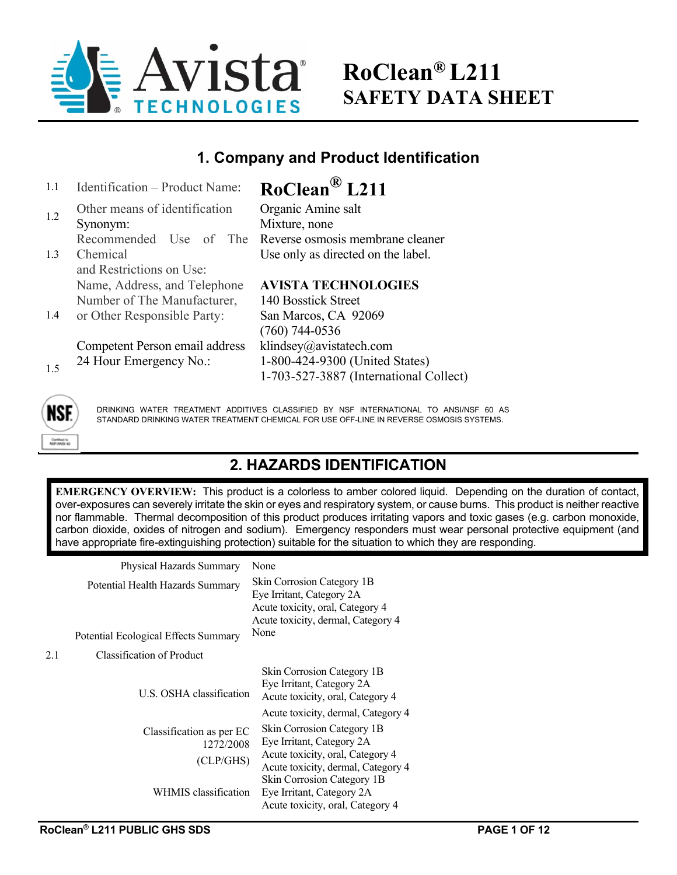

# **RoClean® L211 SAFETY DATA SHEET**

### **1. Company and Product Identification**

| 1.1 | Identification - Product Name: | $RoClean^{\circledR} L211$             |
|-----|--------------------------------|----------------------------------------|
| 1.2 | Other means of identification  | Organic Amine salt                     |
|     | Synonym:                       | Mixture, none                          |
|     | Recommended Use of The         | Reverse osmosis membrane cleaner       |
| 1.3 | Chemical                       | Use only as directed on the label.     |
|     | and Restrictions on Use:       |                                        |
|     | Name, Address, and Telephone   | <b>AVISTA TECHNOLOGIES</b>             |
|     | Number of The Manufacturer,    | 140 Bosstick Street                    |
| 1.4 | or Other Responsible Party:    | San Marcos, CA 92069                   |
|     |                                | $(760)$ 744-0536                       |
|     | Competent Person email address | klindsey@avistatech.com                |
| 1.5 | 24 Hour Emergency No.:         | 1-800-424-9300 (United States)         |
|     |                                | 1-703-527-3887 (International Collect) |



DRINKING WATER TREATMENT ADDITIVES CLASSIFIED BY NSF INTERNATIONAL TO ANSI/NSF 60 AS STANDARD DRINKING WATER TREATMENT CHEMICAL FOR USE OFF-LINE IN REVERSE OSMOSIS SYSTEMS.

### **2. HAZARDS IDENTIFICATION**

**EMERGENCY OVERVIEW:** This product is a colorless to amber colored liquid. Depending on the duration of contact, over-exposures can severely irritate the skin or eyes and respiratory system, or cause burns. This product is neither reactive nor flammable. Thermal decomposition of this product produces irritating vapors and toxic gases (e.g. carbon monoxide, carbon dioxide, oxides of nitrogen and sodium). Emergency responders must wear personal protective equipment (and have appropriate fire-extinguishing protection) suitable for the situation to which they are responding.

|     | Physical Hazards Summary                                                 | None                                                                                                                                      |
|-----|--------------------------------------------------------------------------|-------------------------------------------------------------------------------------------------------------------------------------------|
|     | Potential Health Hazards Summary<br>Potential Ecological Effects Summary | Skin Corrosion Category 1B<br>Eye Irritant, Category 2A<br>Acute toxicity, oral, Category 4<br>Acute toxicity, dermal, Category 4<br>None |
| 2.1 | Classification of Product                                                |                                                                                                                                           |
|     |                                                                          |                                                                                                                                           |
|     | U.S. OSHA classification                                                 | Skin Corrosion Category 1B<br>Eye Irritant, Category 2A<br>Acute toxicity, oral, Category 4                                               |
|     |                                                                          | Acute toxicity, dermal, Category 4                                                                                                        |
|     | Classification as per EC                                                 | Skin Corrosion Category 1B                                                                                                                |
|     | 1272/2008                                                                | Eye Irritant, Category 2A                                                                                                                 |
|     | (CLP/GHS)                                                                | Acute toxicity, oral, Category 4<br>Acute toxicity, dermal, Category 4                                                                    |
|     | WHMIS classification                                                     | Skin Corrosion Category 1B<br>Eye Irritant, Category 2A<br>Acute toxicity, oral, Category 4                                               |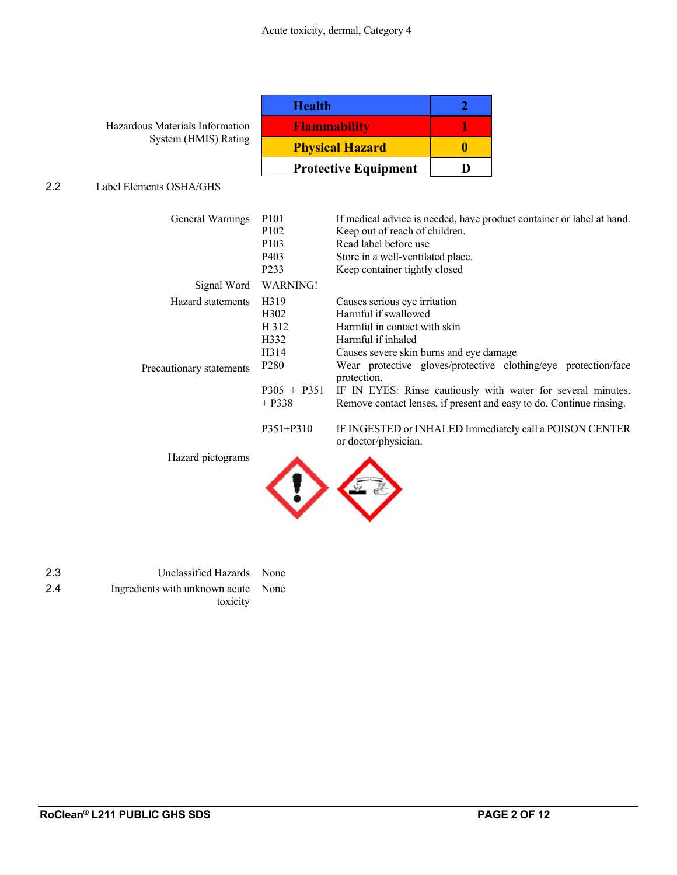| Hazardous Materials Information |  |
|---------------------------------|--|
| System (HMIS) Rating            |  |

| <b>Health</b>               |  |
|-----------------------------|--|
| <b>Flammability</b>         |  |
| <b>Physical Hazard</b>      |  |
| <b>Protective Equipment</b> |  |

### 2.2 Label Elements OSHA/GHS

| General Warnings                              | P <sub>10</sub> 1<br>P <sub>102</sub><br>P <sub>103</sub><br>P <sub>40</sub> 3<br>P233 | If medical advice is needed, have product container or label at hand.<br>Keep out of reach of children.<br>Read label before use<br>Store in a well-ventilated place.<br>Keep container tightly closed                                  |
|-----------------------------------------------|----------------------------------------------------------------------------------------|-----------------------------------------------------------------------------------------------------------------------------------------------------------------------------------------------------------------------------------------|
| Signal Word                                   | <b>WARNING!</b>                                                                        |                                                                                                                                                                                                                                         |
| Hazard statements<br>Precautionary statements | H <sub>3</sub> 19<br>H <sub>3</sub> 02<br>H 312<br>H332<br>H314<br>P <sub>280</sub>    | Causes serious eye irritation<br>Harmful if swallowed<br>Harmful in contact with skin<br>Harmful if inhaled<br>Causes severe skin burns and eye damage<br>Wear protective gloves/protective clothing/eye protection/face<br>protection. |
|                                               | $P305 + P351$<br>$+$ P338<br>$P351 + P310$                                             | IF IN EYES: Rinse cautiously with water for several minutes.<br>Remove contact lenses, if present and easy to do. Continue rinsing.<br>IF INGESTED or INHALED Immediately call a POISON CENTER                                          |
| Hazard nictograms                             | $\sim$                                                                                 | or doctor/physician.                                                                                                                                                                                                                    |

Hazard pictograms



2.3 Unclassified Hazards None 2.4 Ingredients with unknown acute None toxicity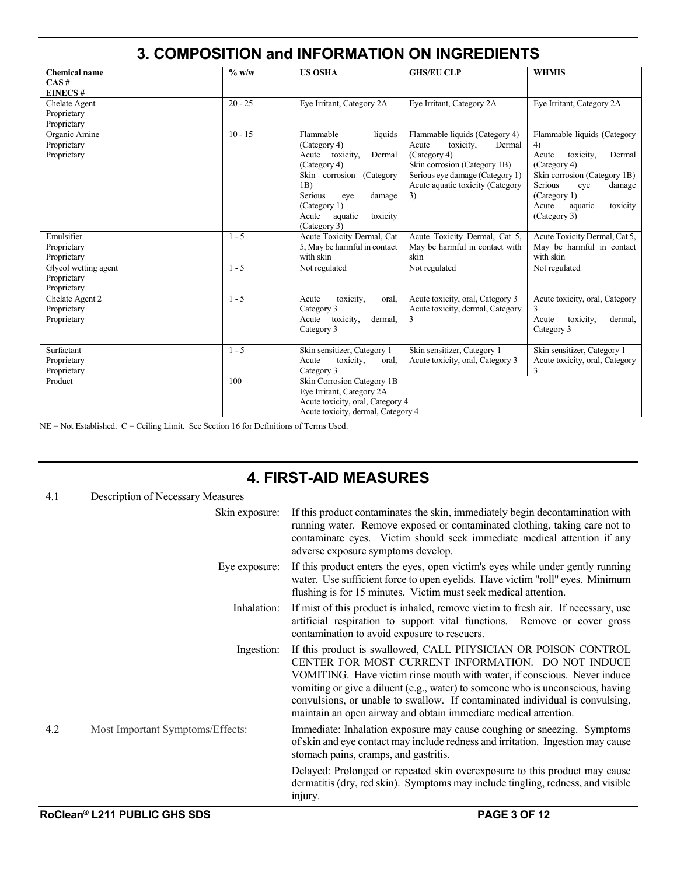|                                                    |           |                                                                                                                                                                                                                     | 3. COMPOSITION and INFORMATION ON INGREDIENTS                                                                                                                                               |                                                                                                                                                                                                               |
|----------------------------------------------------|-----------|---------------------------------------------------------------------------------------------------------------------------------------------------------------------------------------------------------------------|---------------------------------------------------------------------------------------------------------------------------------------------------------------------------------------------|---------------------------------------------------------------------------------------------------------------------------------------------------------------------------------------------------------------|
| <b>Chemical name</b><br>CAS#<br><b>EINECS#</b>     | $\%$ w/w  | <b>US OSHA</b>                                                                                                                                                                                                      | <b>GHS/EU CLP</b>                                                                                                                                                                           | <b>WHMIS</b>                                                                                                                                                                                                  |
| Chelate Agent<br>Proprietary<br>Proprietary        | $20 - 25$ | Eye Irritant, Category 2A                                                                                                                                                                                           | Eye Irritant, Category 2A                                                                                                                                                                   | Eye Irritant, Category 2A                                                                                                                                                                                     |
| Organic Amine<br>Proprietary<br>Proprietary        | $10 - 15$ | Flammable<br>liquids<br>(Category 4)<br>Acute<br>toxicity,<br>Dermal<br>(Category 4)<br>Skin corrosion (Category<br>1B)<br>Serious<br>damage<br>eye<br>(Category 1)<br>aquatic<br>Acute<br>toxicity<br>(Category 3) | Flammable liquids (Category 4)<br>Acute<br>toxicity,<br>Dermal<br>(Category 4)<br>Skin corrosion (Category 1B)<br>Serious eye damage (Category 1)<br>Acute aquatic toxicity (Category<br>3) | Flammable liquids (Category<br>4)<br>toxicity.<br>Dermal<br>Acute<br>(Category 4)<br>Skin corrosion (Category 1B)<br>Serious<br>damage<br>eye<br>(Category 1)<br>Acute<br>toxicity<br>aquatic<br>(Category 3) |
| Emulsifier<br>Proprietary<br>Proprietary           | $1 - 5$   | Acute Toxicity Dermal, Cat<br>5, May be harmful in contact<br>with skin                                                                                                                                             | Acute Toxicity Dermal, Cat 5,<br>May be harmful in contact with<br>skin                                                                                                                     | Acute Toxicity Dermal, Cat 5,<br>May be harmful in contact<br>with skin                                                                                                                                       |
| Glycol wetting agent<br>Proprietary<br>Proprietary | $1 - 5$   | Not regulated                                                                                                                                                                                                       | Not regulated                                                                                                                                                                               | Not regulated                                                                                                                                                                                                 |
| Chelate Agent 2<br>Proprietary<br>Proprietary      | $1 - 5$   | toxicity,<br>Acute<br>oral,<br>Category 3<br>Acute<br>toxicity,<br>dermal.<br>Category 3                                                                                                                            | Acute toxicity, oral, Category 3<br>Acute toxicity, dermal, Category<br>3                                                                                                                   | Acute toxicity, oral, Category<br>3<br>toxicity,<br>Acute<br>dermal,<br>Category 3                                                                                                                            |
| Surfactant<br>Proprietary<br>Proprietary           | $1 - 5$   | Skin sensitizer, Category 1<br>Acute<br>toxicity,<br>oral.<br>Category 3                                                                                                                                            | Skin sensitizer, Category 1<br>Acute toxicity, oral, Category 3                                                                                                                             | Skin sensitizer, Category 1<br>Acute toxicity, oral, Category<br>3                                                                                                                                            |
| Product                                            | 100       | Skin Corrosion Category 1B<br>Eye Irritant, Category 2A<br>Acute toxicity, oral, Category 4<br>Acute toxicity, dermal, Category 4                                                                                   |                                                                                                                                                                                             |                                                                                                                                                                                                               |

NE = Not Established. C = Ceiling Limit. See Section 16 for Definitions of Terms Used.

# **4. FIRST-AID MEASURES**

| 4.1 | Description of Necessary Measures |                                                                                                                                                                                                                                                                                                                                                                                                                                       |
|-----|-----------------------------------|---------------------------------------------------------------------------------------------------------------------------------------------------------------------------------------------------------------------------------------------------------------------------------------------------------------------------------------------------------------------------------------------------------------------------------------|
|     | Skin exposure:                    | If this product contaminates the skin, immediately begin decontamination with<br>running water. Remove exposed or contaminated clothing, taking care not to<br>contaminate eyes. Victim should seek immediate medical attention if any<br>adverse exposure symptoms develop.                                                                                                                                                          |
|     | Eye exposure:                     | If this product enters the eyes, open victim's eyes while under gently running<br>water. Use sufficient force to open eyelids. Have victim "roll" eyes. Minimum<br>flushing is for 15 minutes. Victim must seek medical attention.                                                                                                                                                                                                    |
|     | Inhalation:                       | If mist of this product is inhaled, remove victim to fresh air. If necessary, use<br>artificial respiration to support vital functions. Remove or cover gross<br>contamination to avoid exposure to rescuers.                                                                                                                                                                                                                         |
|     | Ingestion:                        | If this product is swallowed, CALL PHYSICIAN OR POISON CONTROL<br>CENTER FOR MOST CURRENT INFORMATION. DO NOT INDUCE<br>VOMITING. Have victim rinse mouth with water, if conscious. Never induce<br>vomiting or give a diluent (e.g., water) to someone who is unconscious, having<br>convulsions, or unable to swallow. If contaminated individual is convulsing,<br>maintain an open airway and obtain immediate medical attention. |
| 4.2 | Most Important Symptoms/Effects:  | Immediate: Inhalation exposure may cause coughing or sneezing. Symptoms<br>of skin and eye contact may include redness and irritation. Ingestion may cause<br>stomach pains, cramps, and gastritis.                                                                                                                                                                                                                                   |
|     |                                   | Delayed: Prolonged or repeated skin overexposure to this product may cause<br>dermatitis (dry, red skin). Symptoms may include tingling, redness, and visible<br>injury.                                                                                                                                                                                                                                                              |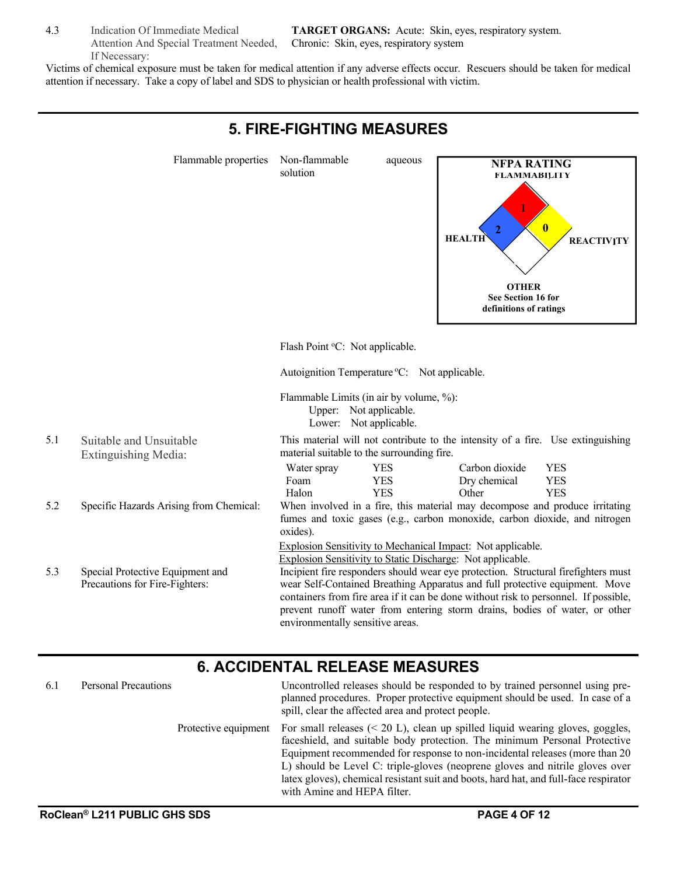4.3 Indication Of Immediate Medical Attention And Special Treatment Needed, If Necessary:

**TARGET ORGANS:** Acute: Skin, eyes, respiratory system. Chronic: Skin, eyes, respiratory system

Victims of chemical exposure must be taken for medical attention if any adverse effects occur. Rescuers should be taken for medical attention if necessary. Take a copy of label and SDS to physician or health professional with victim.



### **6. ACCIDENTAL RELEASE MEASURES**

| 6.1 | <b>Personal Precautions</b> | Uncontrolled releases should be responded to by trained personnel using pre-<br>planned procedures. Proper protective equipment should be used. In case of a<br>spill, clear the affected area and protect people.                                                                                                                                                                                                                                                             |
|-----|-----------------------------|--------------------------------------------------------------------------------------------------------------------------------------------------------------------------------------------------------------------------------------------------------------------------------------------------------------------------------------------------------------------------------------------------------------------------------------------------------------------------------|
|     |                             | Protective equipment For small releases $(20 \text{ L}), clean up spilled liquid wearing gloves, goggles,$<br>faceshield, and suitable body protection. The minimum Personal Protective<br>Equipment recommended for response to non-incidental releases (more than 20)<br>L) should be Level C: triple-gloves (neoprene gloves and nitrile gloves over<br>latex gloves), chemical resistant suit and boots, hard hat, and full-face respirator<br>with Amine and HEPA filter. |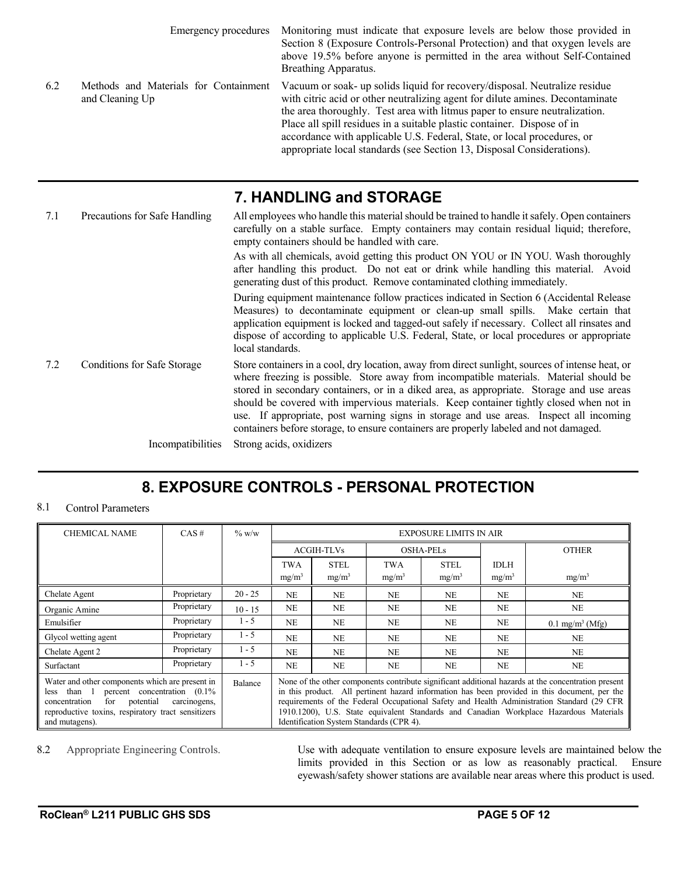|     | Emergency procedures                                     | Monitoring must indicate that exposure levels are below those provided in<br>Section 8 (Exposure Controls-Personal Protection) and that oxygen levels are<br>above 19.5% before anyone is permitted in the area without Self-Contained<br>Breathing Apparatus.                                                                                                                                                                                                            |  |  |  |  |
|-----|----------------------------------------------------------|---------------------------------------------------------------------------------------------------------------------------------------------------------------------------------------------------------------------------------------------------------------------------------------------------------------------------------------------------------------------------------------------------------------------------------------------------------------------------|--|--|--|--|
| 6.2 | Methods and Materials for Containment<br>and Cleaning Up | Vacuum or soak- up solids liquid for recovery/disposal. Neutralize residue<br>with citric acid or other neutralizing agent for dilute amines. Decontaminate<br>the area thoroughly. Test area with litmus paper to ensure neutralization.<br>Place all spill residues in a suitable plastic container. Dispose of in<br>accordance with applicable U.S. Federal, State, or local procedures, or<br>appropriate local standards (see Section 13, Disposal Considerations). |  |  |  |  |
|     | 7. HANDLING and STORAGE                                  |                                                                                                                                                                                                                                                                                                                                                                                                                                                                           |  |  |  |  |

| 7.1 | Precautions for Safe Handling      | All employees who handle this material should be trained to handle it safely. Open containers<br>carefully on a stable surface. Empty containers may contain residual liquid; therefore,<br>empty containers should be handled with care.                                                                                                                                                                                                                                                                                                                            |
|-----|------------------------------------|----------------------------------------------------------------------------------------------------------------------------------------------------------------------------------------------------------------------------------------------------------------------------------------------------------------------------------------------------------------------------------------------------------------------------------------------------------------------------------------------------------------------------------------------------------------------|
|     |                                    | As with all chemicals, avoid getting this product ON YOU or IN YOU. Wash thoroughly<br>after handling this product. Do not eat or drink while handling this material. Avoid<br>generating dust of this product. Remove contaminated clothing immediately.                                                                                                                                                                                                                                                                                                            |
|     |                                    | During equipment maintenance follow practices indicated in Section 6 (Accidental Release<br>Measures) to decontaminate equipment or clean-up small spills. Make certain that<br>application equipment is locked and tagged-out safely if necessary. Collect all rinsates and<br>dispose of according to applicable U.S. Federal, State, or local procedures or appropriate<br>local standards.                                                                                                                                                                       |
| 7.2 | <b>Conditions for Safe Storage</b> | Store containers in a cool, dry location, away from direct sunlight, sources of intense heat, or<br>where freezing is possible. Store away from incompatible materials. Material should be<br>stored in secondary containers, or in a diked area, as appropriate. Storage and use areas<br>should be covered with impervious materials. Keep container tightly closed when not in<br>use. If appropriate, post warning signs in storage and use areas. Inspect all incoming<br>containers before storage, to ensure containers are properly labeled and not damaged. |
|     | Incompatibilities                  | Strong acids, oxidizers                                                                                                                                                                                                                                                                                                                                                                                                                                                                                                                                              |

# **8. EXPOSURE CONTROLS - PERSONAL PROTECTION**

### 8.1 Control Parameters

| <b>CHEMICAL NAME</b>                                                                                                                                                                                                                        | $CAS \#$    | $\%$ w/w  | <b>EXPOSURE LIMITS IN AIR</b>                                                                                                                                                                                                                                                                                                                                                                                                            |                   |                   |                   |                   |                            |
|---------------------------------------------------------------------------------------------------------------------------------------------------------------------------------------------------------------------------------------------|-------------|-----------|------------------------------------------------------------------------------------------------------------------------------------------------------------------------------------------------------------------------------------------------------------------------------------------------------------------------------------------------------------------------------------------------------------------------------------------|-------------------|-------------------|-------------------|-------------------|----------------------------|
|                                                                                                                                                                                                                                             |             |           |                                                                                                                                                                                                                                                                                                                                                                                                                                          | <b>ACGIH-TLVs</b> |                   | <b>OSHA-PELs</b>  |                   | <b>OTHER</b>               |
|                                                                                                                                                                                                                                             |             |           | <b>TWA</b>                                                                                                                                                                                                                                                                                                                                                                                                                               | <b>STEL</b>       | <b>TWA</b>        | <b>STEL</b>       | <b>IDLH</b>       |                            |
|                                                                                                                                                                                                                                             |             |           | $mg/m^3$                                                                                                                                                                                                                                                                                                                                                                                                                                 | $mg/m^3$          | mg/m <sup>3</sup> | mg/m <sup>3</sup> | mg/m <sup>3</sup> | $mg/m^3$                   |
| Chelate Agent                                                                                                                                                                                                                               | Proprietary | $20 - 25$ | <b>NE</b>                                                                                                                                                                                                                                                                                                                                                                                                                                | <b>NE</b>         | <b>NE</b>         | <b>NE</b>         | <b>NE</b>         | NE                         |
| Organic Amine                                                                                                                                                                                                                               | Proprietary | $10 - 15$ | <b>NE</b>                                                                                                                                                                                                                                                                                                                                                                                                                                | NE                | NE                | <b>NE</b>         | <b>NE</b>         | <b>NE</b>                  |
| Emulsifier                                                                                                                                                                                                                                  | Proprietary | $1 - 5$   | NE                                                                                                                                                                                                                                                                                                                                                                                                                                       | <b>NE</b>         | NE                | <b>NE</b>         | NE                | $0.1 \text{ mg/m}^3$ (Mfg) |
| Glycol wetting agent                                                                                                                                                                                                                        | Proprietary | $1 - 5$   | <b>NE</b>                                                                                                                                                                                                                                                                                                                                                                                                                                | <b>NE</b>         | <b>NE</b>         | N <sub>E</sub>    | <b>NE</b>         | <b>NE</b>                  |
| Chelate Agent 2                                                                                                                                                                                                                             | Proprietary | $1 - 5$   | N <sub>E</sub>                                                                                                                                                                                                                                                                                                                                                                                                                           | N <sub>E</sub>    | N <sub>E</sub>    | NF.               | <b>NE</b>         | <b>NE</b>                  |
| Surfactant                                                                                                                                                                                                                                  | Proprietary | $1 - 5$   | <b>NE</b>                                                                                                                                                                                                                                                                                                                                                                                                                                | <b>NE</b>         | <b>NE</b>         | N <sub>E</sub>    | <b>NE</b>         | NE                         |
| Water and other components which are present in<br>Balance<br>percent concentration $(0.1\%$<br>than 1<br>less<br>potential<br>for<br>carcinogens,<br>concentration<br>reproductive toxins, respiratory tract sensitizers<br>and mutagens). |             |           | None of the other components contribute significant additional hazards at the concentration present<br>in this product. All pertinent hazard information has been provided in this document, per the<br>requirements of the Federal Occupational Safety and Health Administration Standard (29 CFR<br>1910.1200), U.S. State equivalent Standards and Canadian Workplace Hazardous Materials<br>Identification System Standards (CPR 4). |                   |                   |                   |                   |                            |

8.2 Appropriate Engineering Controls. Use with adequate ventilation to ensure exposure levels are maintained below the limits provided in this Section or as low as reasonably practical. Ensure eyewash/safety shower stations are available near areas where this product is used.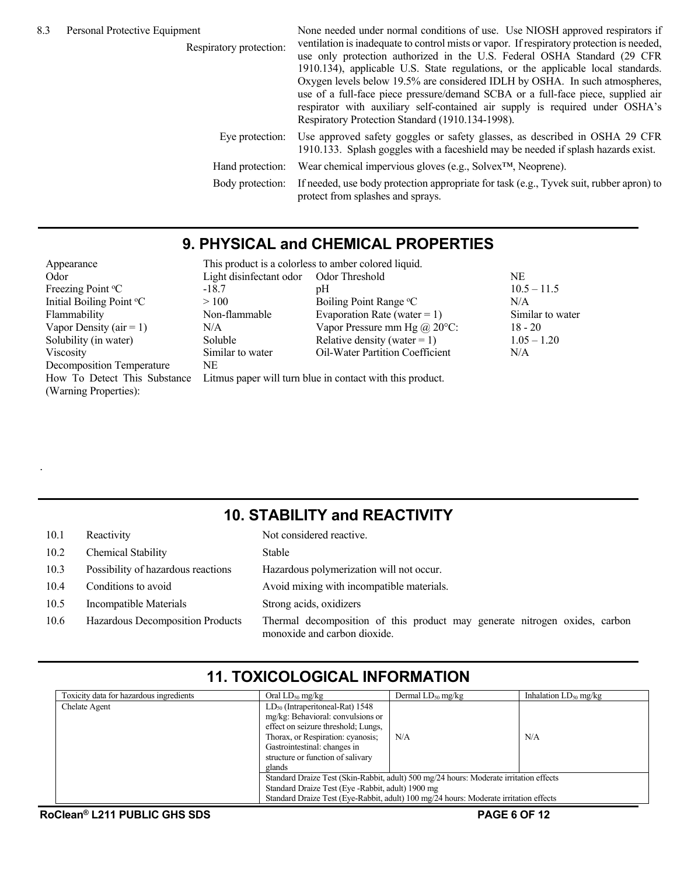Respiratory protection: None needed under normal conditions of use. Use NIOSH approved respirators if ventilation is inadequate to control mists or vapor. If respiratory protection is needed, use only protection authorized in the U.S. Federal OSHA Standard (29 CFR 1910.134), applicable U.S. State regulations, or the applicable local standards. Oxygen levels below 19.5% are considered IDLH by OSHA. In such atmospheres, use of a full-face piece pressure/demand SCBA or a full-face piece, supplied air respirator with auxiliary self-contained air supply is required under OSHA's Respiratory Protection Standard (1910.134-1998). Eye protection: Use approved safety goggles or safety glasses, as described in OSHA 29 CFR 1910.133. Splash goggles with a faceshield may be needed if splash hazards exist. Hand protection: Wear chemical impervious gloves (e.g., Solvex™, Neoprene). Body protection: If needed, use body protection appropriate for task (e.g., Tyvek suit, rubber apron) to protect from splashes and sprays.

### **9. PHYSICAL and CHEMICAL PROPERTIES**

| Appearance                                            | This product is a colorless to amber colored liquid. |                                                           |                  |  |  |  |
|-------------------------------------------------------|------------------------------------------------------|-----------------------------------------------------------|------------------|--|--|--|
| Odor                                                  | Light disinfectant odor Odor Threshold               |                                                           | NE               |  |  |  |
| Freezing Point °C                                     | $-18.7$                                              | pH                                                        | $10.5 - 11.5$    |  |  |  |
| Initial Boiling Point °C                              | >100                                                 | Boiling Point Range °C                                    | N/A              |  |  |  |
| Flammability                                          | Non-flammable                                        | Evaporation Rate (water = $1$ )                           | Similar to water |  |  |  |
| Vapor Density ( $air = 1$ )                           | N/A                                                  | Vapor Pressure mm Hg $\omega$ 20°C:                       | $18 - 20$        |  |  |  |
| Solubility (in water)                                 | Soluble                                              | Relative density (water = 1)                              | $1.05 - 1.20$    |  |  |  |
| Viscosity                                             | Similar to water                                     | <b>Oil-Water Partition Coefficient</b>                    | N/A              |  |  |  |
| Decomposition Temperature                             | NE                                                   |                                                           |                  |  |  |  |
| How To Detect This Substance<br>(Warning Properties): |                                                      | Litmus paper will turn blue in contact with this product. |                  |  |  |  |

### **10. STABILITY and REACTIVITY**

| 10.1 | Reactivity                         | Not considered reactive.                                                                                   |
|------|------------------------------------|------------------------------------------------------------------------------------------------------------|
| 10.2 | <b>Chemical Stability</b>          | Stable                                                                                                     |
| 10.3 | Possibility of hazardous reactions | Hazardous polymerization will not occur.                                                                   |
| 10.4 | Conditions to avoid                | Avoid mixing with incompatible materials.                                                                  |
| 10.5 | Incompatible Materials             | Strong acids, oxidizers                                                                                    |
| 10.6 | Hazardous Decomposition Products   | Thermal decomposition of this product may generate nitrogen oxides, carbon<br>monoxide and carbon dioxide. |

# **11. TOXICOLOGICAL INFORMATION**

| Toxicity data for hazardous ingredients | Oral $LD_{50}$ mg/kg                               | Dermal $LD_{50}$ mg/kg                                                                 | Inhalation $LD_{50}$ mg/kg |
|-----------------------------------------|----------------------------------------------------|----------------------------------------------------------------------------------------|----------------------------|
| Chelate Agent                           | $LD_{50}$ (Intraperitoneal-Rat) 1548               |                                                                                        |                            |
|                                         | mg/kg: Behavioral: convulsions or                  |                                                                                        |                            |
|                                         | effect on seizure threshold; Lungs,                |                                                                                        |                            |
|                                         | Thorax, or Respiration: cyanosis;                  | N/A                                                                                    | N/A                        |
|                                         | Gastrointestinal: changes in                       |                                                                                        |                            |
|                                         | structure or function of salivary                  |                                                                                        |                            |
|                                         | glands                                             |                                                                                        |                            |
|                                         |                                                    | Standard Draize Test (Skin-Rabbit, adult) 500 mg/24 hours: Moderate irritation effects |                            |
|                                         | Standard Draize Test (Eye - Rabbit, adult) 1900 mg |                                                                                        |                            |
|                                         |                                                    | Standard Draize Test (Eye-Rabbit, adult) 100 mg/24 hours: Moderate irritation effects  |                            |

.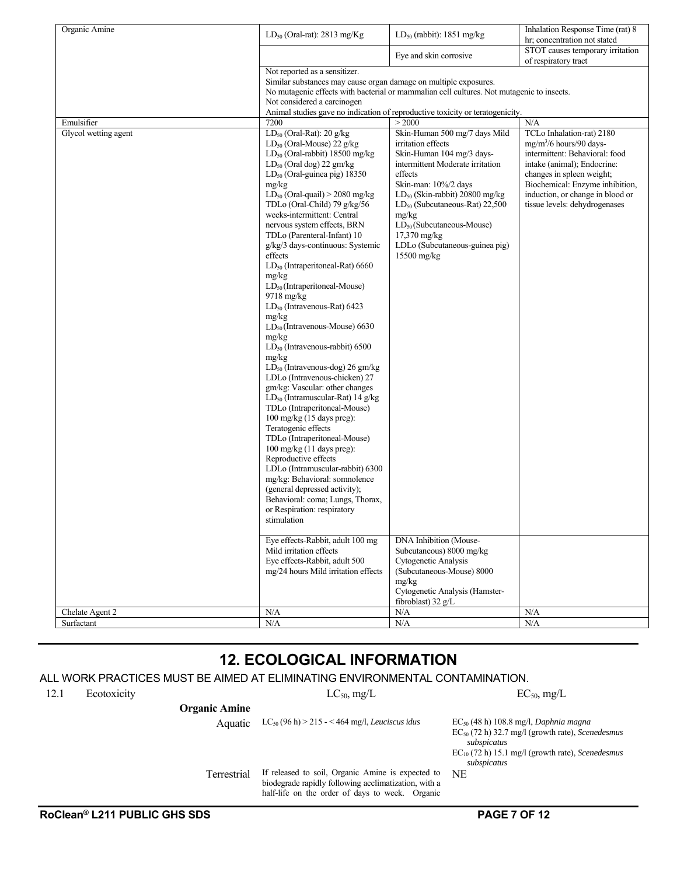| Organic Amine        | $LD_{50}$ (Oral-rat): 2813 mg/Kg                                 | $LD_{50}$ (rabbit): 1851 mg/kg                                                            | Inhalation Response Time (rat) 8<br>hr; concentration not stated |
|----------------------|------------------------------------------------------------------|-------------------------------------------------------------------------------------------|------------------------------------------------------------------|
|                      |                                                                  | Eye and skin corrosive                                                                    | STOT causes temporary irritation<br>of respiratory tract         |
|                      | Not reported as a sensitizer.                                    |                                                                                           |                                                                  |
|                      | Similar substances may cause organ damage on multiple exposures. |                                                                                           |                                                                  |
|                      |                                                                  | No mutagenic effects with bacterial or mammalian cell cultures. Not mutagenic to insects. |                                                                  |
|                      | Not considered a carcinogen                                      |                                                                                           |                                                                  |
|                      |                                                                  | Animal studies gave no indication of reproductive toxicity or teratogenicity.             |                                                                  |
| Emulsifier           | 7200                                                             | > 2000                                                                                    | N/A                                                              |
| Glycol wetting agent | $LD_{50}$ (Oral-Rat): 20 g/kg                                    | Skin-Human 500 mg/7 days Mild                                                             | TCLo Inhalation-rat) 2180                                        |
|                      | $LD_{50}$ (Oral-Mouse) 22 g/kg                                   | irritation effects                                                                        | $mg/m^3/6$ hours/90 days-                                        |
|                      | $LD_{50}$ (Oral-rabbit) 18500 mg/kg                              | Skin-Human 104 mg/3 days-                                                                 | intermittent: Behavioral: food<br>intake (animal); Endocrine:    |
|                      | $LD_{50}$ (Oral dog) 22 gm/kg                                    | intermittent Moderate irritation<br>effects                                               |                                                                  |
|                      | LD <sub>50</sub> (Oral-guinea pig) 18350<br>mg/kg                | Skin-man: 10%/2 days                                                                      | changes in spleen weight;<br>Biochemical: Enzyme inhibition,     |
|                      | $LD_{50}$ (Oral-quail) > 2080 mg/kg                              | $LD_{50}$ (Skin-rabbit) 20800 mg/kg                                                       | induction, or change in blood or                                 |
|                      | TDLo (Oral-Child) 79 g/kg/56                                     | $LD_{50}$ (Subcutaneous-Rat) 22,500                                                       | tissue levels: dehydrogenases                                    |
|                      | weeks-intermittent: Central                                      | mg/kg                                                                                     |                                                                  |
|                      | nervous system effects, BRN                                      | $LD_{50}$ (Subcutaneous-Mouse)                                                            |                                                                  |
|                      | TDLo (Parenteral-Infant) 10                                      | 17,370 mg/kg                                                                              |                                                                  |
|                      | g/kg/3 days-continuous: Systemic                                 | LDLo (Subcutaneous-guinea pig)                                                            |                                                                  |
|                      | effects                                                          | 15500 mg/kg                                                                               |                                                                  |
|                      | LD <sub>50</sub> (Intraperitoneal-Rat) 6660                      |                                                                                           |                                                                  |
|                      | mg/kg                                                            |                                                                                           |                                                                  |
|                      | $LD_{50}$ (Intraperitoneal-Mouse)                                |                                                                                           |                                                                  |
|                      | $9718$ mg/kg                                                     |                                                                                           |                                                                  |
|                      | $LD_{50}$ (Intravenous-Rat) 6423                                 |                                                                                           |                                                                  |
|                      | mg/kg                                                            |                                                                                           |                                                                  |
|                      | $LD_{50}$ (Intravenous-Mouse) 6630                               |                                                                                           |                                                                  |
|                      | mg/kg                                                            |                                                                                           |                                                                  |
|                      | $LD_{50}$ (Intravenous-rabbit) 6500<br>mg/kg                     |                                                                                           |                                                                  |
|                      | $LD_{50}$ (Intravenous-dog) 26 gm/kg                             |                                                                                           |                                                                  |
|                      | LDLo (Intravenous-chicken) 27                                    |                                                                                           |                                                                  |
|                      | gm/kg: Vascular: other changes                                   |                                                                                           |                                                                  |
|                      | $LD_{50}$ (Intramuscular-Rat) 14 g/kg                            |                                                                                           |                                                                  |
|                      | TDLo (Intraperitoneal-Mouse)                                     |                                                                                           |                                                                  |
|                      | 100 mg/kg (15 days preg):                                        |                                                                                           |                                                                  |
|                      | Teratogenic effects                                              |                                                                                           |                                                                  |
|                      | TDLo (Intraperitoneal-Mouse)                                     |                                                                                           |                                                                  |
|                      | $100 \text{ mg/kg}$ (11 days preg):                              |                                                                                           |                                                                  |
|                      | Reproductive effects                                             |                                                                                           |                                                                  |
|                      | LDLo (Intramuscular-rabbit) 6300                                 |                                                                                           |                                                                  |
|                      | mg/kg: Behavioral: somnolence                                    |                                                                                           |                                                                  |
|                      | (general depressed activity);                                    |                                                                                           |                                                                  |
|                      | Behavioral: coma; Lungs, Thorax,                                 |                                                                                           |                                                                  |
|                      | or Respiration: respiratory                                      |                                                                                           |                                                                  |
|                      | stimulation                                                      |                                                                                           |                                                                  |
|                      | Eye effects-Rabbit, adult 100 mg                                 | DNA Inhibition (Mouse-                                                                    |                                                                  |
|                      | Mild irritation effects                                          | Subcutaneous) 8000 mg/kg                                                                  |                                                                  |
|                      | Eye effects-Rabbit, adult 500                                    | Cytogenetic Analysis                                                                      |                                                                  |
|                      | mg/24 hours Mild irritation effects                              | (Subcutaneous-Mouse) 8000                                                                 |                                                                  |
|                      |                                                                  | mg/kg                                                                                     |                                                                  |
|                      |                                                                  | Cytogenetic Analysis (Hamster-                                                            |                                                                  |
|                      |                                                                  | fibroblast) $32 g/L$                                                                      |                                                                  |
| Chelate Agent 2      | N/A                                                              | N/A                                                                                       | N/A                                                              |
| Surfactant           | $\rm N/A$                                                        | ${\rm N/A}$                                                                               | $\rm N/A$                                                        |
|                      |                                                                  |                                                                                           |                                                                  |

### **12. ECOLOGICAL INFORMATION**

### ALL WORK PRACTICES MUST BE AIMED AT ELIMINATING ENVIRONMENTAL CONTAMINATION.

12.1 Ecotoxicity  $LC_{50}$ , mg/L  $EC_{50}$ , mg/L  $EC_{50}$ , mg/L

**Organic Amine**

Aquatic LC50 (96 h) > 215 - < 464 mg/l, *Leuciscus idus* EC50 (48 h) 108.8 mg/l, *Daphnia magna*

EC50 (72 h) 32.7 mg/l (growth rate), *Scenedesmus subspicatus* 

EC10 (72 h) 15.1 mg/l (growth rate), *Scenedesmus subspicatus*

NE

 Terrestrial If released to soil, Organic Amine is expected to biodegrade rapidly following acclimatization, with a half-life on the order of days to week. Organic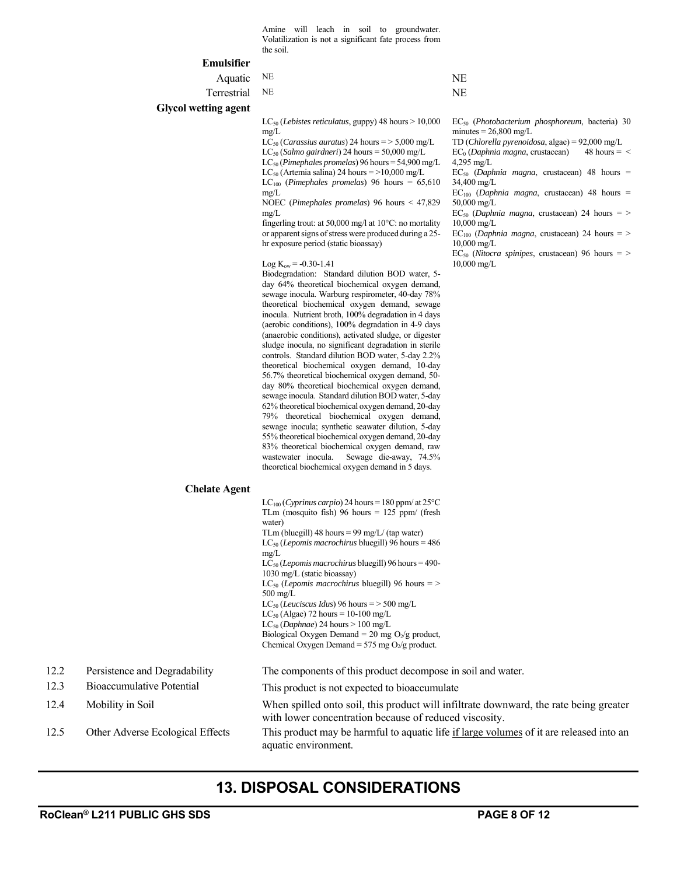Amine will leach in soil to groundwater. Volatilization is not a significant fate process from the soil.

#### **Emulsifier**

|     | епинушег                      |                                                                                                                                                                                                                                                                                                                                                                                                                                                                                                                                                                                                                                                                                                                                                                                                                                                                                                                                                                                                                                                                                                                                                                                                                                                                                                                                                                                                                                                                                                                                                                                                                                                                                                                           |                                                                                                                                                                                                                                                                                                                                                             |
|-----|-------------------------------|---------------------------------------------------------------------------------------------------------------------------------------------------------------------------------------------------------------------------------------------------------------------------------------------------------------------------------------------------------------------------------------------------------------------------------------------------------------------------------------------------------------------------------------------------------------------------------------------------------------------------------------------------------------------------------------------------------------------------------------------------------------------------------------------------------------------------------------------------------------------------------------------------------------------------------------------------------------------------------------------------------------------------------------------------------------------------------------------------------------------------------------------------------------------------------------------------------------------------------------------------------------------------------------------------------------------------------------------------------------------------------------------------------------------------------------------------------------------------------------------------------------------------------------------------------------------------------------------------------------------------------------------------------------------------------------------------------------------------|-------------------------------------------------------------------------------------------------------------------------------------------------------------------------------------------------------------------------------------------------------------------------------------------------------------------------------------------------------------|
|     | Aquatic                       | NE                                                                                                                                                                                                                                                                                                                                                                                                                                                                                                                                                                                                                                                                                                                                                                                                                                                                                                                                                                                                                                                                                                                                                                                                                                                                                                                                                                                                                                                                                                                                                                                                                                                                                                                        | NE                                                                                                                                                                                                                                                                                                                                                          |
|     | Terrestrial                   | NE                                                                                                                                                                                                                                                                                                                                                                                                                                                                                                                                                                                                                                                                                                                                                                                                                                                                                                                                                                                                                                                                                                                                                                                                                                                                                                                                                                                                                                                                                                                                                                                                                                                                                                                        | NE                                                                                                                                                                                                                                                                                                                                                          |
|     | <b>Glycol wetting agent</b>   |                                                                                                                                                                                                                                                                                                                                                                                                                                                                                                                                                                                                                                                                                                                                                                                                                                                                                                                                                                                                                                                                                                                                                                                                                                                                                                                                                                                                                                                                                                                                                                                                                                                                                                                           |                                                                                                                                                                                                                                                                                                                                                             |
|     |                               | $LC_{50}$ (Lebistes reticulatus, guppy) 48 hours > 10,000<br>mg/L<br>$LC_{50}$ ( <i>Carassius auratus</i> ) 24 hours = > 5,000 mg/L<br>$LC_{50}$ (Salmo gairdneri) 24 hours = 50,000 mg/L<br>$LC_{50}$ (Pimephales promelas) 96 hours = 54,900 mg/L<br>$LC_{50}$ (Artemia salina) 24 hours = >10,000 mg/L<br>$LC_{100}$ (Pimephales promelas) 96 hours = 65,610<br>mg/L<br>NOEC (Pimephales promelas) 96 hours $\leq 47,829$<br>mg/L<br>fingerling trout: at 50,000 mg/l at $10^{\circ}$ C: no mortality<br>or apparent signs of stress were produced during a 25-<br>hr exposure period (static bioassay)<br>$Log K_{ow} = -0.30 - 1.41$<br>Biodegradation: Standard dilution BOD water, 5-<br>day 64% theoretical biochemical oxygen demand,<br>sewage inocula. Warburg respirometer, 40-day 78%<br>theoretical biochemical oxygen demand, sewage<br>inocula. Nutrient broth, 100% degradation in 4 days<br>(aerobic conditions), 100% degradation in 4-9 days<br>(anaerobic conditions), activated sludge, or digester<br>sludge inocula, no significant degradation in sterile<br>controls. Standard dilution BOD water, 5-day 2.2%<br>theoretical biochemical oxygen demand, 10-day<br>56.7% theoretical biochemical oxygen demand, 50-<br>day 80% theoretical biochemical oxygen demand,<br>sewage inocula. Standard dilution BOD water, 5-day<br>62% theoretical biochemical oxygen demand, 20-day<br>79% theoretical biochemical oxygen demand,<br>sewage inocula; synthetic seawater dilution, 5-day<br>55% theoretical biochemical oxygen demand, 20-day<br>83% theoretical biochemical oxygen demand, raw<br>wastewater inocula.<br>Sewage die-away, 74.5%<br>theoretical biochemical oxygen demand in 5 days. | $EC_{50}$ ( <i>Photobac</i><br>$minutes = 26,80$<br>TD (Chlorella p<br>$EC_0$ (Daphnia m<br>$4,295 \text{ mg/L}$<br>$EC_{50}$ (Daphnia<br>34,400 mg/L<br>$EC100$ (Daphnia<br>$50,000 \,\mathrm{mg/L}$<br>$EC_{50}$ (Daphnia<br>$10,000 \,\mathrm{mg/L}$<br>$EC100$ (Daphnia<br>$10,000 \,\mathrm{mg/L}$<br>$EC_{50}$ (Nitocra s<br>$10,000 \,\mathrm{mg/L}$ |
|     | <b>Chelate Agent</b>          |                                                                                                                                                                                                                                                                                                                                                                                                                                                                                                                                                                                                                                                                                                                                                                                                                                                                                                                                                                                                                                                                                                                                                                                                                                                                                                                                                                                                                                                                                                                                                                                                                                                                                                                           |                                                                                                                                                                                                                                                                                                                                                             |
|     |                               | LC <sub>100</sub> (Cyprinus carpio) 24 hours = 180 ppm/ at 25 $\rm{^{\circ}C}$<br>TLm (mosquito fish) 96 hours $= 125$ ppm/ (fresh<br>water)<br>TLm (bluegill) 48 hours = 99 mg/L/ (tap water)<br>$LC_{50}$ (Lepomis macrochirus bluegill) 96 hours = 486<br>mg/L<br>LC <sub>50</sub> (Lepomis macrochirus bluegill) 96 hours = 490-<br>1030 mg/L (static bioassay)<br>$LC_{50}$ ( <i>Lepomis macrochirus</i> bluegill) 96 hours = ><br>$500 \text{ mg/L}$<br>$LC_{50}$ (Leuciscus Idus) 96 hours = > 500 mg/L<br>$LC_{50}$ (Algae) 72 hours = 10-100 mg/L<br>$LC_{50}$ (Daphnae) 24 hours > 100 mg/L<br>Biological Oxygen Demand = 20 mg $O_2/g$ product,<br>Chemical Oxygen Demand = 575 mg $O_2/g$ product.                                                                                                                                                                                                                                                                                                                                                                                                                                                                                                                                                                                                                                                                                                                                                                                                                                                                                                                                                                                                            |                                                                                                                                                                                                                                                                                                                                                             |
| 122 | Persistence and Decradability | The components of this product decompose in soil and we                                                                                                                                                                                                                                                                                                                                                                                                                                                                                                                                                                                                                                                                                                                                                                                                                                                                                                                                                                                                                                                                                                                                                                                                                                                                                                                                                                                                                                                                                                                                                                                                                                                                   |                                                                                                                                                                                                                                                                                                                                                             |

- 
- 
- 
- 

EC50 (*Photobacterium phosphoreum*, bacteria) 30  $0 \text{ mg/L}$ 

TD (*Chlorella pyrenoidosa*, algae) = 92,000 mg/L

*agna*, crustacean)

magna, crustacean) 48 hours =

magna, crustacean) 48 hours =

magna, crustacean) 24 hours = >

 $magna$ , crustacean) 24 hours  $=$  >

spinipes, crustacean) 96 hours = >

12.2 Persistence and Degradability The components of this product decompose in soil and water.

12.3 Bioaccumulative Potential This product is not expected to bioaccumulate

12.4 Mobility in Soil When spilled onto soil, this product will infiltrate downward, the rate being greater with lower concentration because of reduced viscosity.

12.5 Other Adverse Ecological Effects This product may be harmful to aquatic life if large volumes of it are released into an aquatic environment.

### **13. DISPOSAL CONSIDERATIONS**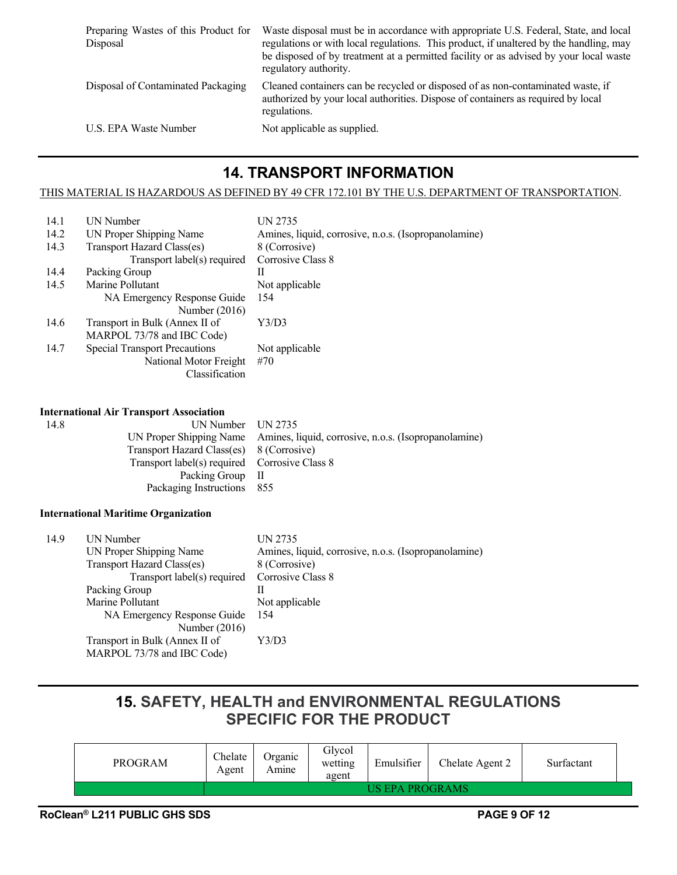| Waste disposal must be in accordance with appropriate U.S. Federal, State, and local<br>regulations or with local regulations. This product, if unaltered by the handling, may<br>be disposed of by treatment at a permitted facility or as advised by your local waste<br>regulatory authority. |
|--------------------------------------------------------------------------------------------------------------------------------------------------------------------------------------------------------------------------------------------------------------------------------------------------|
| Cleaned containers can be recycled or disposed of as non-contaminated waste, if<br>authorized by your local authorities. Dispose of containers as required by local<br>regulations.                                                                                                              |
| Not applicable as supplied.                                                                                                                                                                                                                                                                      |
|                                                                                                                                                                                                                                                                                                  |

### **14. TRANSPORT INFORMATION**

#### THIS MATERIAL IS HAZARDOUS AS DEFINED BY 49 CFR 172.101 BY THE U.S. DEPARTMENT OF TRANSPORTATION.

| 14.1 | <b>UN Number</b>                     | UN 2735                                              |
|------|--------------------------------------|------------------------------------------------------|
| 14.2 | UN Proper Shipping Name              | Amines, liquid, corrosive, n.o.s. (Isopropanolamine) |
| 14.3 | Transport Hazard Class(es)           | 8 (Corrosive)                                        |
|      | Transport label(s) required          | Corrosive Class 8                                    |
| 14.4 | Packing Group                        | Н                                                    |
| 14.5 | Marine Pollutant                     | Not applicable                                       |
|      | NA Emergency Response Guide          | 154                                                  |
|      | Number $(2016)$                      |                                                      |
| 14.6 | Transport in Bulk (Annex II of       | Y3/D3                                                |
|      | MARPOL 73/78 and IBC Code)           |                                                      |
| 14.7 | <b>Special Transport Precautions</b> | Not applicable                                       |
|      | National Motor Freight               | #70                                                  |
|      | Classification                       |                                                      |
|      |                                      |                                                      |

#### **International Air Transport Association**

| UN Number UN 2735                                                            |
|------------------------------------------------------------------------------|
| UN Proper Shipping Name Amines, liquid, corrosive, n.o.s. (Isopropanolamine) |
| Transport Hazard Class(es) 8 (Corrosive)                                     |
| Transport label(s) required Corrosive Class 8                                |
| Packing Group II                                                             |
| Packaging Instructions 855                                                   |
|                                                                              |

#### **International Maritime Organization**

| 14.9 | UN Number                                     | UN 2735                                              |
|------|-----------------------------------------------|------------------------------------------------------|
|      | UN Proper Shipping Name                       | Amines, liquid, corrosive, n.o.s. (Isopropanolamine) |
|      | Transport Hazard Class(es)                    | 8 (Corrosive)                                        |
|      | Transport label(s) required Corrosive Class 8 |                                                      |
|      | Packing Group                                 |                                                      |
|      | Marine Pollutant                              | Not applicable                                       |
|      | NA Emergency Response Guide                   | 154                                                  |
|      | Number $(2016)$                               |                                                      |
|      | Transport in Bulk (Annex II of                | Y3/D3                                                |
|      | MARPOL 73/78 and IBC Code)                    |                                                      |

### **15. SAFETY, HEALTH and ENVIRONMENTAL REGULATIONS SPECIFIC FOR THE PRODUCT**

| PROGRAM | Chelate<br>Agent | Organic<br>Amıne | Glycol<br>wetting<br>agent | Emulsifier      | Chelate Agent 2 | Surfactant |
|---------|------------------|------------------|----------------------------|-----------------|-----------------|------------|
|         |                  |                  |                            | US EPA PROGRAMS |                 |            |
|         |                  |                  |                            |                 |                 |            |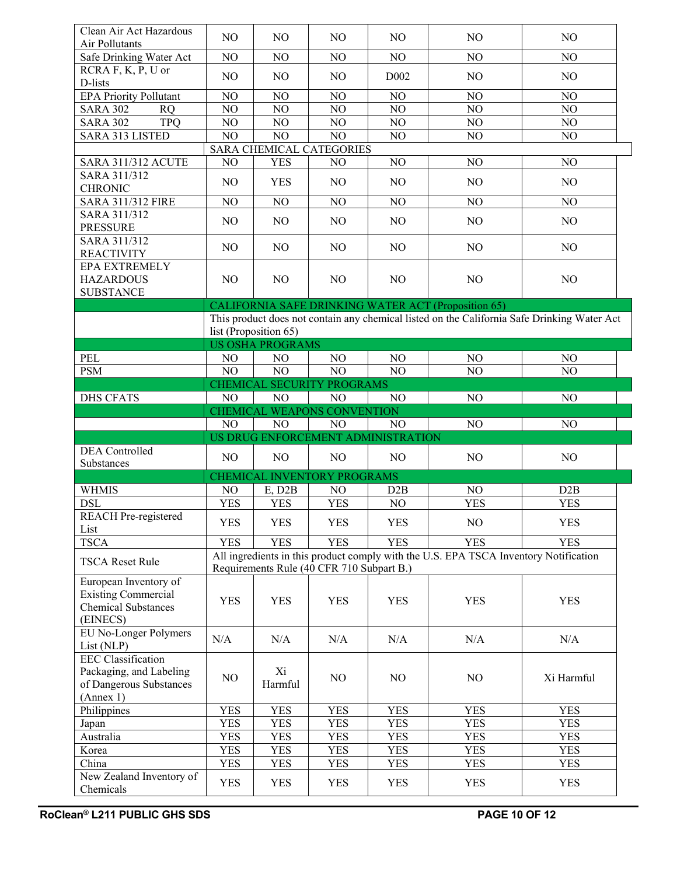| Clean Air Act Hazardous                                                                       | N <sub>O</sub> | N <sub>O</sub>              | N <sub>O</sub>                            | N <sub>O</sub>                     | NO                                                                                   | N <sub>O</sub>                                                                              |
|-----------------------------------------------------------------------------------------------|----------------|-----------------------------|-------------------------------------------|------------------------------------|--------------------------------------------------------------------------------------|---------------------------------------------------------------------------------------------|
| Air Pollutants                                                                                |                |                             |                                           |                                    |                                                                                      |                                                                                             |
| Safe Drinking Water Act                                                                       | NO             | NO                          | N <sub>O</sub>                            | N <sub>O</sub>                     | NO                                                                                   | N <sub>O</sub>                                                                              |
| RCRA F, K, P, U or<br>D-lists                                                                 | N <sub>O</sub> | N <sub>O</sub>              | N <sub>O</sub>                            | D <sub>0</sub> 02                  | N <sub>O</sub>                                                                       | NO                                                                                          |
| <b>EPA Priority Pollutant</b>                                                                 | NO             | NO                          | N <sub>O</sub>                            | NO                                 | NO                                                                                   | NO                                                                                          |
| <b>SARA 302</b><br><b>RQ</b>                                                                  | NO             | NO                          | NO                                        | N <sub>O</sub>                     | NO                                                                                   | NO                                                                                          |
| <b>SARA 302</b><br><b>TPQ</b>                                                                 | NO             | NO                          | NO                                        | NO                                 | NO                                                                                   | NO                                                                                          |
| SARA 313 LISTED                                                                               | NO             | N <sub>O</sub>              | NO                                        | NO                                 | NO                                                                                   | NO                                                                                          |
|                                                                                               |                |                             | SARA CHEMICAL CATEGORIES                  |                                    |                                                                                      |                                                                                             |
| <b>SARA 311/312 ACUTE</b>                                                                     | NO             | <b>YES</b>                  | NO                                        | NO                                 | NO                                                                                   | NO                                                                                          |
| SARA 311/312                                                                                  |                |                             |                                           |                                    |                                                                                      |                                                                                             |
| <b>CHRONIC</b>                                                                                | N <sub>O</sub> | <b>YES</b>                  | N <sub>O</sub>                            | N <sub>O</sub>                     | N <sub>O</sub>                                                                       | N <sub>O</sub>                                                                              |
| <b>SARA 311/312 FIRE</b>                                                                      | NO             | NO                          | NO                                        | NO                                 | NO                                                                                   | NO                                                                                          |
| SARA 311/312<br><b>PRESSURE</b>                                                               | N <sub>O</sub> | N <sub>O</sub>              | N <sub>O</sub>                            | N <sub>O</sub>                     | NO                                                                                   | N <sub>O</sub>                                                                              |
| SARA 311/312<br><b>REACTIVITY</b>                                                             | N <sub>O</sub> | NO                          | N <sub>O</sub>                            | N <sub>O</sub>                     | NO                                                                                   | NO                                                                                          |
| <b>EPA EXTREMELY</b><br><b>HAZARDOUS</b>                                                      | N <sub>O</sub> | N <sub>O</sub>              | N <sub>O</sub>                            | N <sub>O</sub>                     | NO                                                                                   | NO                                                                                          |
| <b>SUBSTANCE</b>                                                                              |                |                             |                                           |                                    |                                                                                      |                                                                                             |
|                                                                                               |                |                             |                                           |                                    | <b>CALIFORNIA SAFE DRINKING WATER ACT (Proposition 65)</b>                           |                                                                                             |
|                                                                                               |                |                             |                                           |                                    |                                                                                      | This product does not contain any chemical listed on the California Safe Drinking Water Act |
|                                                                                               |                | list (Proposition 65)       |                                           |                                    |                                                                                      |                                                                                             |
|                                                                                               |                | <b>US OSHA PROGRAMS</b>     |                                           |                                    |                                                                                      |                                                                                             |
| PEL                                                                                           | N <sub>O</sub> | N <sub>O</sub>              | N <sub>O</sub>                            | NO                                 | NO                                                                                   | N <sub>O</sub>                                                                              |
| <b>PSM</b>                                                                                    | NO             | NO                          | NO                                        | NO                                 | NO                                                                                   | NO                                                                                          |
|                                                                                               |                |                             | CHEMICAL SECURITY PROGRAMS                |                                    |                                                                                      |                                                                                             |
| <b>DHS CFATS</b>                                                                              | N <sub>O</sub> | N <sub>O</sub>              | NO                                        | NO                                 | N <sub>O</sub>                                                                       | NO                                                                                          |
|                                                                                               |                | CHEMICAL WEAPONS CONVENTION |                                           |                                    |                                                                                      |                                                                                             |
|                                                                                               |                |                             |                                           |                                    |                                                                                      |                                                                                             |
|                                                                                               | N <sub>O</sub> | N <sub>O</sub>              | NO                                        | NO                                 | N <sub>O</sub>                                                                       | NO                                                                                          |
|                                                                                               |                |                             |                                           | US DRUG ENFORCEMENT ADMINISTRATION |                                                                                      |                                                                                             |
| <b>DEA</b> Controlled                                                                         |                |                             |                                           |                                    |                                                                                      |                                                                                             |
| Substances                                                                                    | N <sub>O</sub> | N <sub>O</sub>              | N <sub>O</sub>                            | N <sub>O</sub>                     | N <sub>O</sub>                                                                       | NO                                                                                          |
|                                                                                               |                |                             | CHEMICAL INVENTORY PROGRAMS               |                                    |                                                                                      |                                                                                             |
| <b>WHMIS</b>                                                                                  | NO             | $E$ , D <sub>2</sub> B      | NO                                        | D2B                                | N <sub>O</sub>                                                                       | D2B                                                                                         |
| <b>DSL</b>                                                                                    | <b>YES</b>     | <b>YES</b>                  | <b>YES</b>                                | NO                                 | <b>YES</b>                                                                           | <b>YES</b>                                                                                  |
| <b>REACH Pre-registered</b><br>List                                                           | <b>YES</b>     | <b>YES</b>                  | <b>YES</b>                                | <b>YES</b>                         | NO                                                                                   | <b>YES</b>                                                                                  |
| <b>TSCA</b>                                                                                   | <b>YES</b>     | <b>YES</b>                  | <b>YES</b>                                | <b>YES</b>                         | <b>YES</b>                                                                           | <b>YES</b>                                                                                  |
|                                                                                               |                |                             |                                           |                                    | All ingredients in this product comply with the U.S. EPA TSCA Inventory Notification |                                                                                             |
| <b>TSCA Reset Rule</b>                                                                        |                |                             | Requirements Rule (40 CFR 710 Subpart B.) |                                    |                                                                                      |                                                                                             |
| European Inventory of<br><b>Existing Commercial</b><br><b>Chemical Substances</b><br>(EINECS) | <b>YES</b>     | <b>YES</b>                  | <b>YES</b>                                | <b>YES</b>                         | <b>YES</b>                                                                           | <b>YES</b>                                                                                  |
| EU No-Longer Polymers<br>List (NLP)                                                           | N/A            | N/A                         | N/A                                       | N/A                                | N/A                                                                                  | N/A                                                                                         |
| <b>EEC</b> Classification<br>Packaging, and Labeling<br>of Dangerous Substances<br>(Annex 1)  | NO             | Xi<br>Harmful               | NO                                        | NO                                 | NO                                                                                   | Xi Harmful                                                                                  |
| Philippines                                                                                   | <b>YES</b>     | <b>YES</b>                  | <b>YES</b>                                | <b>YES</b>                         | <b>YES</b>                                                                           | <b>YES</b>                                                                                  |
| Japan                                                                                         | <b>YES</b>     | <b>YES</b>                  | <b>YES</b>                                | <b>YES</b>                         | <b>YES</b>                                                                           | <b>YES</b>                                                                                  |
| Australia                                                                                     | <b>YES</b>     | <b>YES</b>                  | <b>YES</b>                                | <b>YES</b>                         | <b>YES</b>                                                                           | <b>YES</b>                                                                                  |
| Korea                                                                                         | <b>YES</b>     | <b>YES</b>                  | <b>YES</b>                                | <b>YES</b>                         | <b>YES</b>                                                                           | <b>YES</b>                                                                                  |
| China<br>New Zealand Inventory of                                                             | <b>YES</b>     | <b>YES</b>                  | <b>YES</b>                                | <b>YES</b>                         | <b>YES</b>                                                                           | <b>YES</b>                                                                                  |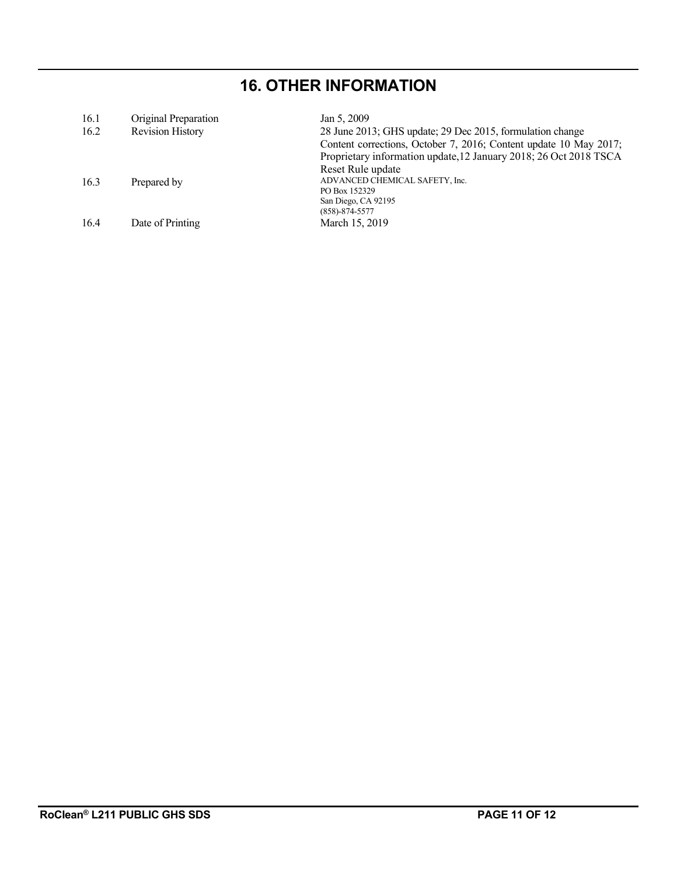# **16. OTHER INFORMATION**

| 16.1 | Original Preparation    | Jan 5, 2009                                                       |
|------|-------------------------|-------------------------------------------------------------------|
| 16.2 | <b>Revision History</b> | 28 June 2013; GHS update; 29 Dec 2015, formulation change         |
|      |                         | Content corrections, October 7, 2016; Content update 10 May 2017; |
|      |                         | Proprietary information update, 12 January 2018; 26 Oct 2018 TSCA |
|      |                         | Reset Rule update                                                 |
| 16.3 | Prepared by             | ADVANCED CHEMICAL SAFETY, Inc.                                    |
|      |                         | PO Box 152329                                                     |
|      |                         | San Diego, CA 92195                                               |
|      |                         | $(858) - 874 - 5577$                                              |
| 16.4 | Date of Printing        | March 15, 2019                                                    |